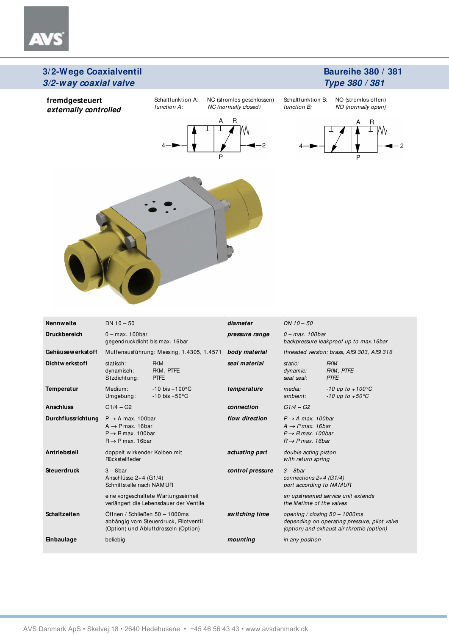$\Delta$ 

### **Baureihe 380 / 381 Type 380 / 381**



| <b>Nennweite</b>    | $DN 10 - 50$                                                                                                                     |                                                         | diameter         | $DN 10 - 50$                                                                                                                     |                                                             |  |
|---------------------|----------------------------------------------------------------------------------------------------------------------------------|---------------------------------------------------------|------------------|----------------------------------------------------------------------------------------------------------------------------------|-------------------------------------------------------------|--|
| <b>Druckbereich</b> | $0 - max. 100$ bar<br>gegendruckdicht bis max. 16bar                                                                             |                                                         | pressure range   | $0 - max.$ 100 bar                                                                                                               | backpressure leakproof up to max.16bar                      |  |
| Gehäusewerkstoff    |                                                                                                                                  | Muffenausführung: Messing, 1.4305, 1.4571               | body material    |                                                                                                                                  | threaded version: brass, AISI 303, AISI 316                 |  |
| Dichtwerkstoff      | <b>FKM</b><br>statisch:<br>FKM, PTFE<br>dynamisch:<br><b>PTFE</b><br>Sitzdichtung:                                               |                                                         | seal material    | static:<br>dynamic:<br>seat seal:                                                                                                | <b>FKM</b><br>FKM, PTFE<br><b>PTFE</b>                      |  |
| <b>Temperatur</b>   | Medium:<br>Umgebung:                                                                                                             | $-10$ bis $+100^{\circ}$ C<br>$-10$ bis $+50^{\circ}$ C | temperature      | media:<br>ambient:                                                                                                               | $-10$ up to $+100^{\circ}$ C<br>$-10$ up to $+50^{\circ}$ C |  |
| <b>Anschluss</b>    | $G1/4 - G2$                                                                                                                      |                                                         | connection       | $G1/4 - G2$                                                                                                                      |                                                             |  |
| Durchflussrichtung  | $P \rightarrow A$ max. 100bar<br>$A \rightarrow P$ max. 16 bar<br>$P \rightarrow R$ max, 100 bar<br>$R \rightarrow P$ max. 16bar |                                                         | flow direction   | $P \rightarrow A$ max. 100bar<br>$A \rightarrow P$ max. 16 bar<br>$P \rightarrow R$ max. 100 bar<br>$B \rightarrow P$ max. 16bar |                                                             |  |
| Antriebsteil        | doppelt wirkender Kolben mit<br>Rückstellfeder                                                                                   |                                                         | actuating part   | double acting piston<br>with return spring                                                                                       |                                                             |  |
| <b>Steuerdruck</b>  | $3 - 8bar$<br>Anschlüsse $2+4$ (G1/4)<br>Schnittstelle nach NAM UR<br>eine vorgeschaltete Wartungseinheit                        |                                                         | control pressure | $3 - 8bar$<br>connections $2+4$ (G1/4)<br>port according to NAMUR                                                                | an upstreamed service unit extends                          |  |
|                     |                                                                                                                                  | verlängert die Lebensdauer der Ventile                  |                  | the lifetime of the valves                                                                                                       |                                                             |  |
| <b>Schaltzeiten</b> | Öffnen / Schließen 50 - 1000ms<br>abhängig vom Steuerdruck, Pilotventil<br>(Option) und Abluftdrosseln (Option)                  |                                                         | switching time   | opening / closing $50 - 1000$ ms<br>depending on operating pressure, pilot valve<br>(option) and exhaust air throttle (option)   |                                                             |  |
| Einbaulage          | beliebig                                                                                                                         |                                                         | mounting         | in any position                                                                                                                  |                                                             |  |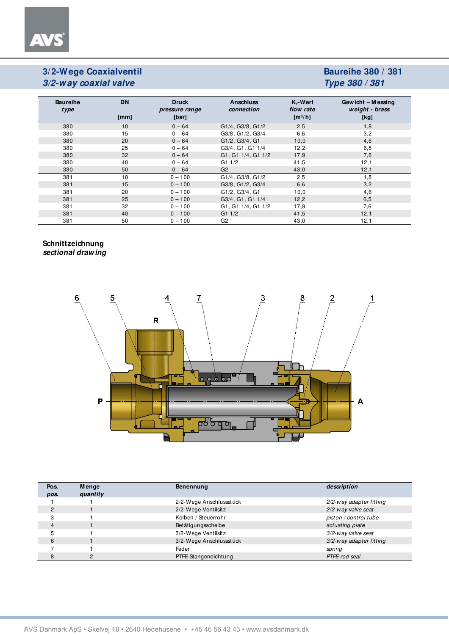**AVS** 

## **Baureihe 380 / 381 Type 380 / 381**

| <b>Baureihe</b><br>type | <b>DN</b><br>[mm] | <b>Druck</b><br>pressure range<br>[bar] | <b>Anschluss</b><br>connection | $K_v-Wert$<br>flow rate<br>$\left[\frac{m^3}{h}\right]$ | Gewicht - Messing<br>weight - brass<br>[kg] |
|-------------------------|-------------------|-----------------------------------------|--------------------------------|---------------------------------------------------------|---------------------------------------------|
| 380                     | 10                | $0 - 64$                                | G1/4, G3/8, G1/2               | 2,5                                                     | 1,8                                         |
| 380                     | 15                | $0 - 64$                                | G3/8, G1/2, G3/4               | 6,6                                                     | 3,2                                         |
| 380                     | 20                | $0 - 64$                                | G1/2, G3/4, G1                 | 10,0                                                    | 4,6                                         |
| 380                     | 25                | $0 - 64$                                | G3/4, G1, G1 1/4               | 12,2                                                    | 6,5                                         |
| 380                     | 32                | $0 - 64$                                | G1, G1 1/4, G1 1/2             | 17,9                                                    | 7,6                                         |
| 380                     | 40                | $0 - 64$                                | G11/2                          | 41,5                                                    | 12,1                                        |
| 380                     | 50                | $0 - 64$                                | G <sub>2</sub>                 | 43,0                                                    | 12,1                                        |
| 381                     | 10                | $0 - 100$                               | G1/4, G3/8, G1/2               | 2,5                                                     | 1,8                                         |
| 381                     | 15                | $0 - 100$                               | G3/8, G1/2, G3/4               | 6,6                                                     | 3,2                                         |
| 381                     | 20                | $0 - 100$                               | G1/2, G3/4, G1                 | 10,0                                                    | 4,6                                         |
| 381                     | 25                | $0 - 100$                               | G3/4, G1, G1 1/4               | 12,2                                                    | 6,5                                         |
| 381                     | 32                | $0 - 100$                               | G1, G1 1/4, G1 1/2             | 17,9                                                    | 7,6                                         |
| 381                     | 40                | $0 - 100$                               | G11/2                          | 41.5                                                    | 12,1                                        |
| 381                     | 50                | $0 - 100$                               | G2                             | 43,0                                                    | 12,1                                        |

#### **Schnittzeichnung sectional drawing**



| Pos.<br>pos. | Menge<br>quantity | Benennung               | description             |
|--------------|-------------------|-------------------------|-------------------------|
|              |                   | 2/2-Wege Anschlussstück | 2/2-way adapter fitting |
| 2            |                   | 2/2-Wege Ventilsitz     | 2/2-way valve seat      |
|              |                   | Kolben / Steuerrohr     | piston / control tube   |
| 4            |                   | Betätigungsscheibe      | actuating plate         |
|              |                   | 3/2-Wege Ventilsitz     | 3/2-way valve seat      |
| 6            |                   | 3/2-Wege Anschlussstück | 3/2-way adapter fitting |
|              |                   | Feder                   | spring                  |
| 8            | $\mathcal{P}$     | PTFE-Stangendichtung    | PTFE-rod seal           |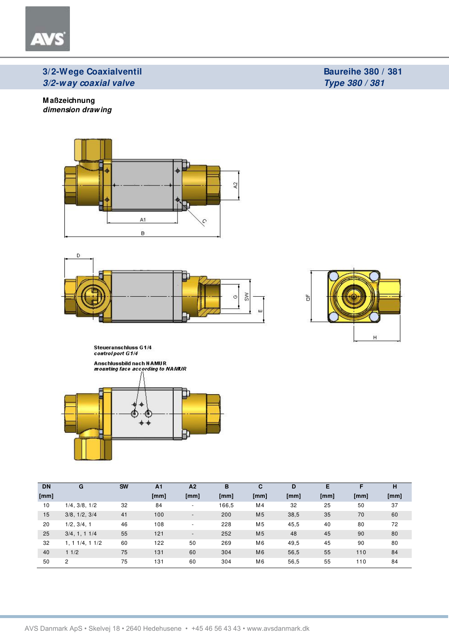### **M aßzeichnung dimension drawing**

AV









| <b>DN</b> | G                  | <b>SW</b> | A <sub>1</sub> | A <sub>2</sub>           | B     | С              | D    | Е    |      | н    |
|-----------|--------------------|-----------|----------------|--------------------------|-------|----------------|------|------|------|------|
| [mm]      |                    |           | [mm]           | [mm]                     | [mm]  | [mm]           | [mm] | [mm] | [mm] | [mm] |
| 10        | 1/4, 3/8, 1/2      | 32        | 84             | $\overline{\phantom{a}}$ | 166,5 | M4             | 32   | 25   | 50   | 37   |
| 15        | 3/8, 1/2, 3/4      | 41        | 100            | $\overline{\phantom{a}}$ | 200   | M <sub>5</sub> | 38,5 | 35   | 70   | 60   |
| 20        | 1/2, 3/4, 1        | 46        | 108            | $\overline{\phantom{a}}$ | 228   | M <sub>5</sub> | 45,5 | 40   | 80   | 72   |
| 25        | $3/4$ , 1, 1 $1/4$ | 55        | 121            | $\overline{\phantom{a}}$ | 252   | M <sub>5</sub> | 48   | 45   | 90   | 80   |
| 32        | 1, 11/4, 11/2      | 60        | 122            | 50                       | 269   | M <sub>6</sub> | 49,5 | 45   | 90   | 80   |
| 40        | 11/2               | 75        | 131            | 60                       | 304   | M <sub>6</sub> | 56,5 | 55   | 110  | 84   |
| 50        | $\overline{2}$     | 75        | 131            | 60                       | 304   | M <sub>6</sub> | 56,5 | 55   | 110  | 84   |

**Baureihe 380 / 381 Type 380 / 381**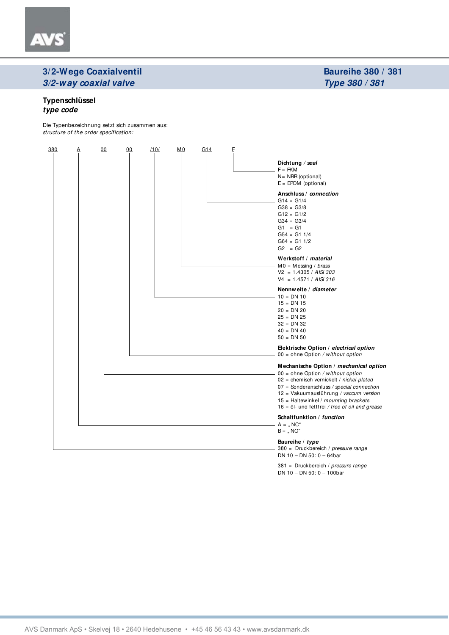#### **Typenschlüssel type code**

Die Typenbezeichnung setzt sich zusammen aus: structure of the order specification:



381 = Druckbereich / pressure range DN 10 – DN 50: 0 – 100bar

**Baureihe 380 / 381 Type 380 / 381**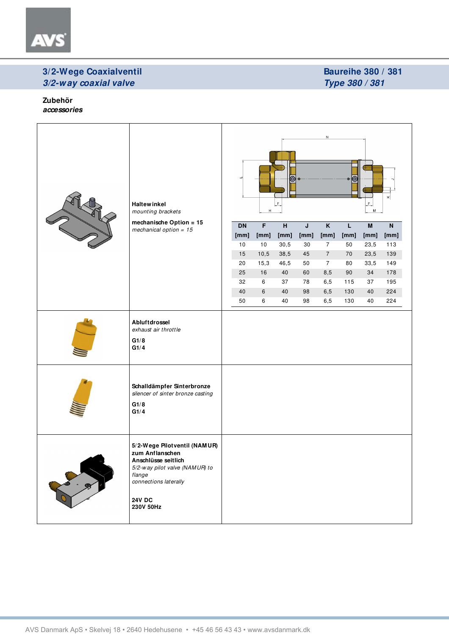

### **Baureihe 380 / 381 Type 380 / 381**

**Zubehör accessories**

| VI | <b>Haltewinkel</b><br>mounting brackets<br>mechanische Option = 15                                                                                                        | N<br>$\circ$ ( $\odot$<br>ō<br>$\pmb{\times}$<br>LF.<br>$F_{\perp}$<br>H<br>M |                         |                |      |                         |             |                           |           |  |
|----|---------------------------------------------------------------------------------------------------------------------------------------------------------------------------|-------------------------------------------------------------------------------|-------------------------|----------------|------|-------------------------|-------------|---------------------------|-----------|--|
|    | mechanical option = $15$                                                                                                                                                  | <b>DN</b>                                                                     | $\overline{\mathsf{F}}$ | $\overline{H}$ | J    | $\overline{\mathsf{K}}$ | $\mathsf L$ | $\boldsymbol{\mathsf{M}}$ | ${\sf N}$ |  |
|    |                                                                                                                                                                           | [mm]                                                                          | [mm]                    | [mm]           | [mm] | [mm]                    | [mm]        | [mm]                      | [mm]      |  |
|    |                                                                                                                                                                           | 10                                                                            | 10                      | 30,5           | 30   | $\overline{7}$          | 50          | 23,5                      | 113       |  |
|    |                                                                                                                                                                           | 15                                                                            | 10,5                    | 38,5           | 45   | $\overline{7}$          | 70          | 23,5                      | 139       |  |
|    |                                                                                                                                                                           | 20                                                                            | 15,3                    | 46,5           | 50   | $\overline{7}$          | 80          | 33,5                      | 149       |  |
|    |                                                                                                                                                                           | 25                                                                            | 16                      | 40             | 60   | 8,5                     | 90          | 34                        | 178       |  |
|    |                                                                                                                                                                           | 32                                                                            | 6                       | 37             | 78   | $_{6,5}$                | 115         | 37                        | 195       |  |
|    |                                                                                                                                                                           | 40                                                                            | 6                       | 40             | 98   | $_{6,5}$                | 130         | 40                        | 224       |  |
|    |                                                                                                                                                                           | 50                                                                            | 6                       | 40             | 98   | 6,5                     | 130         | 40                        | 224       |  |
|    | Abluftdrossel<br>exhaust air throttle<br>G1/8<br>G1/4                                                                                                                     |                                                                               |                         |                |      |                         |             |                           |           |  |
|    | Schalldämpfer Sinterbronze<br>silencer of sinter bronze casting<br>G1/8<br>G1/4                                                                                           |                                                                               |                         |                |      |                         |             |                           |           |  |
|    | 5/2-Wege Pilotventil (NAMUR)<br>zum Anflanschen<br>Anschlüsse seitlich<br>5/2-way pilot valve (NAMUR) to<br>flange<br>connections laterally<br><b>24V DC</b><br>230V 50Hz |                                                                               |                         |                |      |                         |             |                           |           |  |